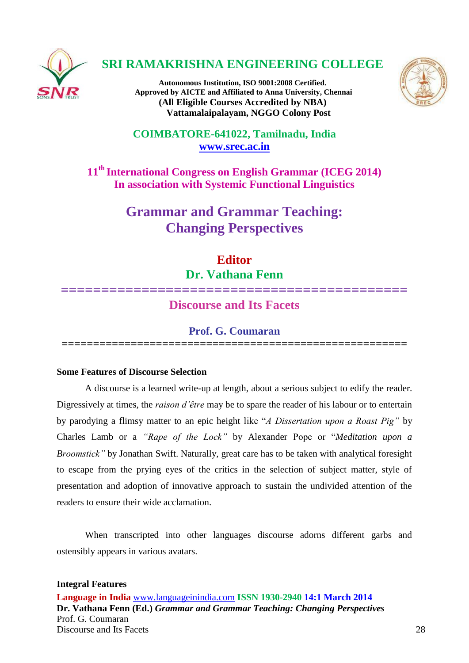

## **SRI RAMAKRISHNA ENGINEERING COLLEGE**

**Autonomous Institution, ISO 9001:2008 Certified. Approved by AICTE and Affiliated to Anna University, Chennai (All Eligible Courses Accredited by NBA) Vattamalaipalayam, NGGO Colony Post**



**COIMBATORE-641022, Tamilnadu, India [www.srec.ac.in](http://www.srec.ac.in/)**

**11th International Congress on English Grammar (ICEG 2014) In association with Systemic Functional Linguistics**

> **Grammar and Grammar Teaching: Changing Perspectives**

## **Editor**

**Dr. Vathana Fenn**

# **=========================================== Discourse and Its Facets**

## **Prof. G. Coumaran**

**=======================================================**

## **Some Features of Discourse Selection**

A discourse is a learned write-up at length, about a serious subject to edify the reader. Digressively at times, the *raison d'être* may be to spare the reader of his labour or to entertain by parodying a flimsy matter to an epic height like "*A Dissertation upon a Roast Pig"* by Charles Lamb or a *"Rape of the Lock"* by Alexander Pope or "*Meditation upon a Broomstick"* by Jonathan Swift. Naturally, great care has to be taken with analytical foresight to escape from the prying eyes of the critics in the selection of subject matter, style of presentation and adoption of innovative approach to sustain the undivided attention of the readers to ensure their wide acclamation.

When transcripted into other languages discourse adorns different garbs and ostensibly appears in various avatars.

**Language in India** [www.languageinindia.com](http://www.languageinindia.com/) **ISSN 1930-2940 14:1 March 2014 Dr. Vathana Fenn (Ed.)** *Grammar and Grammar Teaching: Changing Perspectives* Prof. G. Coumaran Discourse and Its Facets 28 **Integral Features**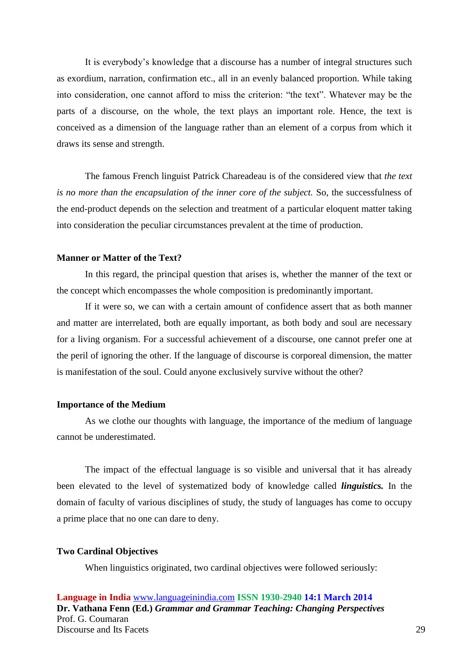It is everybody's knowledge that a discourse has a number of integral structures such as exordium, narration, confirmation etc., all in an evenly balanced proportion. While taking into consideration, one cannot afford to miss the criterion: "the text". Whatever may be the parts of a discourse, on the whole, the text plays an important role. Hence, the text is conceived as a dimension of the language rather than an element of a corpus from which it draws its sense and strength.

The famous French linguist Patrick Chareadeau is of the considered view that *the text is no more than the encapsulation of the inner core of the subject.* So, the successfulness of the end-product depends on the selection and treatment of a particular eloquent matter taking into consideration the peculiar circumstances prevalent at the time of production.

### **Manner or Matter of the Text?**

In this regard, the principal question that arises is, whether the manner of the text or the concept which encompasses the whole composition is predominantly important.

 If it were so, we can with a certain amount of confidence assert that as both manner and matter are interrelated, both are equally important, as both body and soul are necessary for a living organism. For a successful achievement of a discourse, one cannot prefer one at the peril of ignoring the other. If the language of discourse is corporeal dimension, the matter is manifestation of the soul. Could anyone exclusively survive without the other?

#### **Importance of the Medium**

As we clothe our thoughts with language, the importance of the medium of language cannot be underestimated.

The impact of the effectual language is so visible and universal that it has already been elevated to the level of systematized body of knowledge called *linguistics.* In the domain of faculty of various disciplines of study, the study of languages has come to occupy a prime place that no one can dare to deny.

#### **Two Cardinal Objectives**

When linguistics originated, two cardinal objectives were followed seriously:

**Language in India** [www.languageinindia.com](http://www.languageinindia.com/) **ISSN 1930-2940 14:1 March 2014 Dr. Vathana Fenn (Ed.)** *Grammar and Grammar Teaching: Changing Perspectives* Prof. G. Coumaran Discourse and Its Facets 29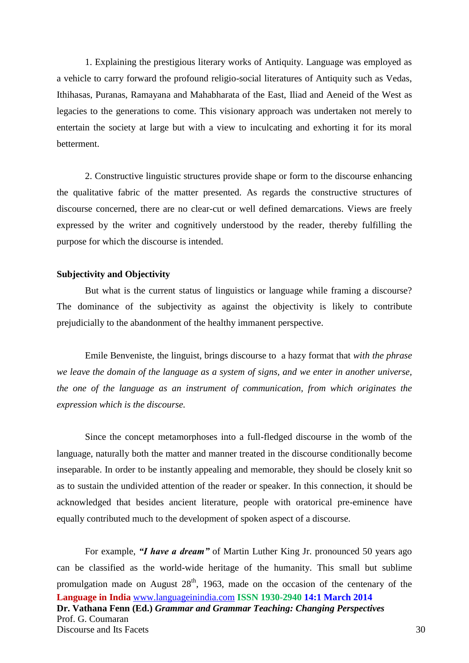1. Explaining the prestigious literary works of Antiquity. Language was employed as a vehicle to carry forward the profound religio-social literatures of Antiquity such as Vedas, Ithihasas, Puranas, Ramayana and Mahabharata of the East, Iliad and Aeneid of the West as legacies to the generations to come. This visionary approach was undertaken not merely to entertain the society at large but with a view to inculcating and exhorting it for its moral betterment.

2. Constructive linguistic structures provide shape or form to the discourse enhancing the qualitative fabric of the matter presented. As regards the constructive structures of discourse concerned, there are no clear-cut or well defined demarcations. Views are freely expressed by the writer and cognitively understood by the reader, thereby fulfilling the purpose for which the discourse is intended.

#### **Subjectivity and Objectivity**

But what is the current status of linguistics or language while framing a discourse? The dominance of the subjectivity as against the objectivity is likely to contribute prejudicially to the abandonment of the healthy immanent perspective.

Emile Benveniste, the linguist, brings discourse to a hazy format that *with the phrase we leave the domain of the language as a system of signs, and we enter in another universe, the one of the language as an instrument of communication, from which originates the expression which is the discourse.*

Since the concept metamorphoses into a full-fledged discourse in the womb of the language, naturally both the matter and manner treated in the discourse conditionally become inseparable. In order to be instantly appealing and memorable, they should be closely knit so as to sustain the undivided attention of the reader or speaker. In this connection, it should be acknowledged that besides ancient literature, people with oratorical pre-eminence have equally contributed much to the development of spoken aspect of a discourse.

**Language in India** [www.languageinindia.com](http://www.languageinindia.com/) **ISSN 1930-2940 14:1 March 2014 Dr. Vathana Fenn (Ed.)** *Grammar and Grammar Teaching: Changing Perspectives* Prof. G. Coumaran Discourse and Its Facets 30 For example, *"I have a dream"* of Martin Luther King Jr. pronounced 50 years ago can be classified as the world-wide heritage of the humanity. This small but sublime promulgation made on August  $28<sup>th</sup>$ , 1963, made on the occasion of the centenary of the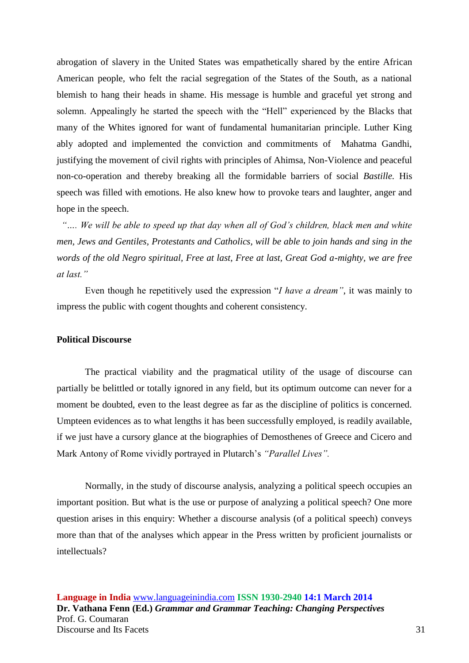abrogation of slavery in the United States was empathetically shared by the entire African American people, who felt the racial segregation of the States of the South, as a national blemish to hang their heads in shame. His message is humble and graceful yet strong and solemn. Appealingly he started the speech with the "Hell" experienced by the Blacks that many of the Whites ignored for want of fundamental humanitarian principle. Luther King ably adopted and implemented the conviction and commitments of Mahatma Gandhi, justifying the movement of civil rights with principles of Ahimsa, Non-Violence and peaceful non-co-operation and thereby breaking all the formidable barriers of social *Bastille.* His speech was filled with emotions. He also knew how to provoke tears and laughter, anger and hope in the speech.

 *"…. We will be able to speed up that day when all of God's children, black men and white men, Jews and Gentiles, Protestants and Catholics, will be able to join hands and sing in the words of the old Negro spiritual, Free at last, Free at last, Great God a-mighty, we are free at last."*

Even though he repetitively used the expression "*I have a dream"*, it was mainly to impress the public with cogent thoughts and coherent consistency.

#### **Political Discourse**

The practical viability and the pragmatical utility of the usage of discourse can partially be belittled or totally ignored in any field, but its optimum outcome can never for a moment be doubted, even to the least degree as far as the discipline of politics is concerned. Umpteen evidences as to what lengths it has been successfully employed, is readily available, if we just have a cursory glance at the biographies of Demosthenes of Greece and Cicero and Mark Antony of Rome vividly portrayed in Plutarch's *"Parallel Lives".* 

Normally, in the study of discourse analysis, analyzing a political speech occupies an important position. But what is the use or purpose of analyzing a political speech? One more question arises in this enquiry: Whether a discourse analysis (of a political speech) conveys more than that of the analyses which appear in the Press written by proficient journalists or intellectuals?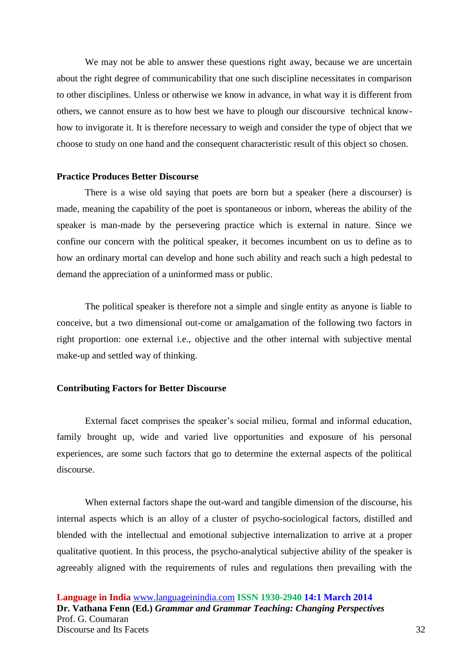We may not be able to answer these questions right away, because we are uncertain about the right degree of communicability that one such discipline necessitates in comparison to other disciplines. Unless or otherwise we know in advance, in what way it is different from others, we cannot ensure as to how best we have to plough our discoursive technical knowhow to invigorate it. It is therefore necessary to weigh and consider the type of object that we choose to study on one hand and the consequent characteristic result of this object so chosen.

#### **Practice Produces Better Discourse**

There is a wise old saying that poets are born but a speaker (here a discourser) is made, meaning the capability of the poet is spontaneous or inborn, whereas the ability of the speaker is man-made by the persevering practice which is external in nature. Since we confine our concern with the political speaker, it becomes incumbent on us to define as to how an ordinary mortal can develop and hone such ability and reach such a high pedestal to demand the appreciation of a uninformed mass or public.

The political speaker is therefore not a simple and single entity as anyone is liable to conceive, but a two dimensional out-come or amalgamation of the following two factors in right proportion: one external i.e., objective and the other internal with subjective mental make-up and settled way of thinking.

### **Contributing Factors for Better Discourse**

External facet comprises the speaker's social milieu, formal and informal education, family brought up, wide and varied live opportunities and exposure of his personal experiences, are some such factors that go to determine the external aspects of the political discourse.

When external factors shape the out-ward and tangible dimension of the discourse, his internal aspects which is an alloy of a cluster of psycho-sociological factors, distilled and blended with the intellectual and emotional subjective internalization to arrive at a proper qualitative quotient. In this process, the psycho-analytical subjective ability of the speaker is agreeably aligned with the requirements of rules and regulations then prevailing with the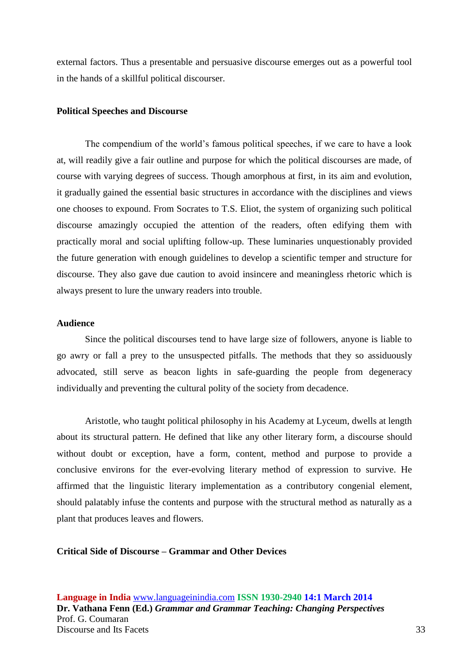external factors. Thus a presentable and persuasive discourse emerges out as a powerful tool in the hands of a skillful political discourser.

#### **Political Speeches and Discourse**

The compendium of the world's famous political speeches, if we care to have a look at, will readily give a fair outline and purpose for which the political discourses are made, of course with varying degrees of success. Though amorphous at first, in its aim and evolution, it gradually gained the essential basic structures in accordance with the disciplines and views one chooses to expound. From Socrates to T.S. Eliot, the system of organizing such political discourse amazingly occupied the attention of the readers, often edifying them with practically moral and social uplifting follow-up. These luminaries unquestionably provided the future generation with enough guidelines to develop a scientific temper and structure for discourse. They also gave due caution to avoid insincere and meaningless rhetoric which is always present to lure the unwary readers into trouble.

## **Audience**

Since the political discourses tend to have large size of followers, anyone is liable to go awry or fall a prey to the unsuspected pitfalls. The methods that they so assiduously advocated, still serve as beacon lights in safe-guarding the people from degeneracy individually and preventing the cultural polity of the society from decadence.

Aristotle, who taught political philosophy in his Academy at Lyceum, dwells at length about its structural pattern. He defined that like any other literary form, a discourse should without doubt or exception, have a form, content, method and purpose to provide a conclusive environs for the ever-evolving literary method of expression to survive. He affirmed that the linguistic literary implementation as a contributory congenial element, should palatably infuse the contents and purpose with the structural method as naturally as a plant that produces leaves and flowers.

## **Critical Side of Discourse – Grammar and Other Devices**

**Language in India** [www.languageinindia.com](http://www.languageinindia.com/) **ISSN 1930-2940 14:1 March 2014 Dr. Vathana Fenn (Ed.)** *Grammar and Grammar Teaching: Changing Perspectives* Prof. G. Coumaran Discourse and Its Facets 33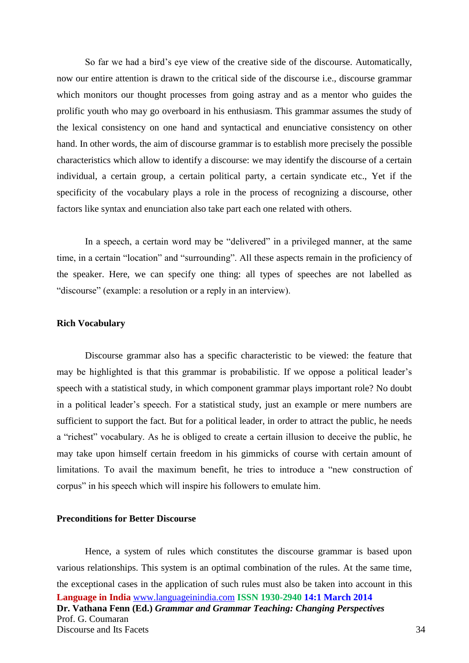So far we had a bird's eye view of the creative side of the discourse. Automatically, now our entire attention is drawn to the critical side of the discourse i.e., discourse grammar which monitors our thought processes from going astray and as a mentor who guides the prolific youth who may go overboard in his enthusiasm. This grammar assumes the study of the lexical consistency on one hand and syntactical and enunciative consistency on other hand. In other words, the aim of discourse grammar is to establish more precisely the possible characteristics which allow to identify a discourse: we may identify the discourse of a certain individual, a certain group, a certain political party, a certain syndicate etc., Yet if the specificity of the vocabulary plays a role in the process of recognizing a discourse, other factors like syntax and enunciation also take part each one related with others.

In a speech, a certain word may be "delivered" in a privileged manner, at the same time, in a certain "location" and "surrounding". All these aspects remain in the proficiency of the speaker. Here, we can specify one thing: all types of speeches are not labelled as "discourse" (example: a resolution or a reply in an interview).

## **Rich Vocabulary**

Discourse grammar also has a specific characteristic to be viewed: the feature that may be highlighted is that this grammar is probabilistic. If we oppose a political leader's speech with a statistical study, in which component grammar plays important role? No doubt in a political leader's speech. For a statistical study, just an example or mere numbers are sufficient to support the fact. But for a political leader, in order to attract the public, he needs a "richest" vocabulary. As he is obliged to create a certain illusion to deceive the public, he may take upon himself certain freedom in his gimmicks of course with certain amount of limitations. To avail the maximum benefit, he tries to introduce a "new construction of corpus" in his speech which will inspire his followers to emulate him.

### **Preconditions for Better Discourse**

**Language in India** [www.languageinindia.com](http://www.languageinindia.com/) **ISSN 1930-2940 14:1 March 2014 Dr. Vathana Fenn (Ed.)** *Grammar and Grammar Teaching: Changing Perspectives* Prof. G. Coumaran Discourse and Its Facets 34 Hence, a system of rules which constitutes the discourse grammar is based upon various relationships. This system is an optimal combination of the rules. At the same time, the exceptional cases in the application of such rules must also be taken into account in this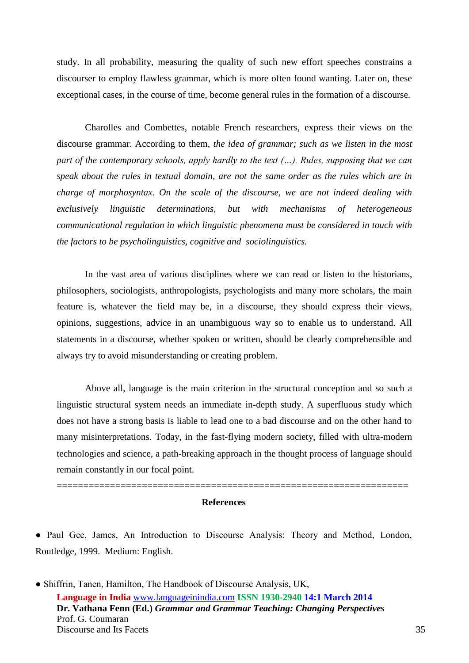study. In all probability, measuring the quality of such new effort speeches constrains a discourser to employ flawless grammar, which is more often found wanting. Later on, these exceptional cases, in the course of time, become general rules in the formation of a discourse.

Charolles and Combettes, notable French researchers, express their views on the discourse grammar. According to them, *the idea of grammar; such as we listen in the most part of the contemporary schools, apply hardly to the text (…). Rules, supposing that we can speak about the rules in textual domain, are not the same order as the rules which are in charge of morphosyntax. On the scale of the discourse, we are not indeed dealing with exclusively linguistic determinations, but with mechanisms of heterogeneous communicational regulation in which linguistic phenomena must be considered in touch with the factors to be psycholinguistics, cognitive and sociolinguistics.* 

In the vast area of various disciplines where we can read or listen to the historians, philosophers, sociologists, anthropologists, psychologists and many more scholars, the main feature is, whatever the field may be, in a discourse, they should express their views, opinions, suggestions, advice in an unambiguous way so to enable us to understand. All statements in a discourse, whether spoken or written, should be clearly comprehensible and always try to avoid misunderstanding or creating problem.

Above all, language is the main criterion in the structural conception and so such a linguistic structural system needs an immediate in-depth study. A superfluous study which does not have a strong basis is liable to lead one to a bad discourse and on the other hand to many misinterpretations. Today, in the fast-flying modern society, filled with ultra-modern technologies and science, a path-breaking approach in the thought process of language should remain constantly in our focal point.

#### **References**

==================================================================

● Paul Gee, James, An Introduction to Discourse Analysis: Theory and Method, London, Routledge, 1999. Medium: English.

**Language in India** [www.languageinindia.com](http://www.languageinindia.com/) **ISSN 1930-2940 14:1 March 2014 Dr. Vathana Fenn (Ed.)** *Grammar and Grammar Teaching: Changing Perspectives* Prof. G. Coumaran Discourse and Its Facets 35 ● Shiffrin, Tanen, Hamilton, The Handbook of Discourse Analysis, UK,